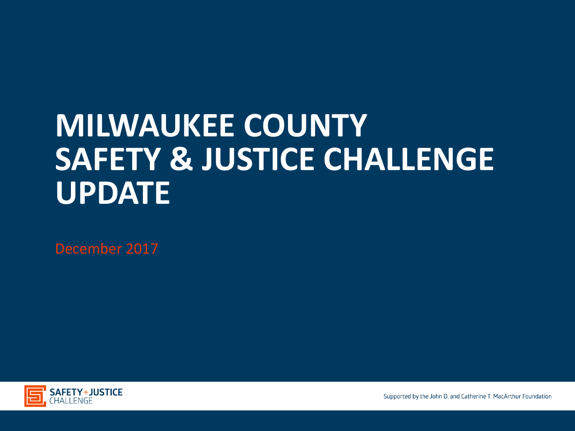## **MILWAUKEE COUNTY SAFETY & JUSTICE CHALLENGE UPDATE**

December 2017



Supported by the John D. and Catherine T. MacArthur Foundation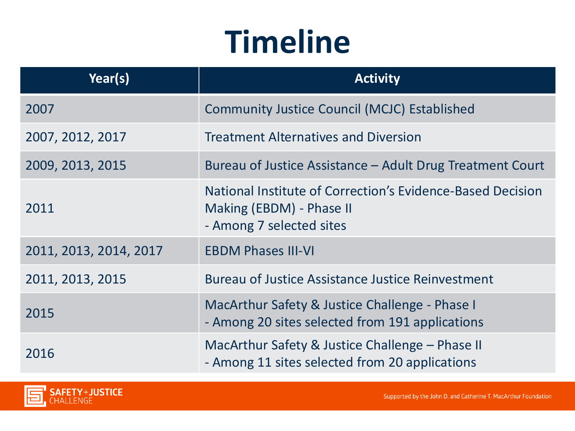## **Timeline**

| Year(s)                | <b>Activity</b>                                                                                                    |
|------------------------|--------------------------------------------------------------------------------------------------------------------|
| 2007                   | <b>Community Justice Council (MCJC) Established</b>                                                                |
| 2007, 2012, 2017       | <b>Treatment Alternatives and Diversion</b>                                                                        |
| 2009, 2013, 2015       | Bureau of Justice Assistance - Adult Drug Treatment Court                                                          |
| 2011                   | National Institute of Correction's Evidence-Based Decision<br>Making (EBDM) - Phase II<br>- Among 7 selected sites |
| 2011, 2013, 2014, 2017 | <b>EBDM Phases III-VI</b>                                                                                          |
| 2011, 2013, 2015       | <b>Bureau of Justice Assistance Justice Reinvestment</b>                                                           |
| 2015                   | MacArthur Safety & Justice Challenge - Phase I<br>- Among 20 sites selected from 191 applications                  |
| 2016                   | MacArthur Safety & Justice Challenge – Phase II<br>- Among 11 sites selected from 20 applications                  |

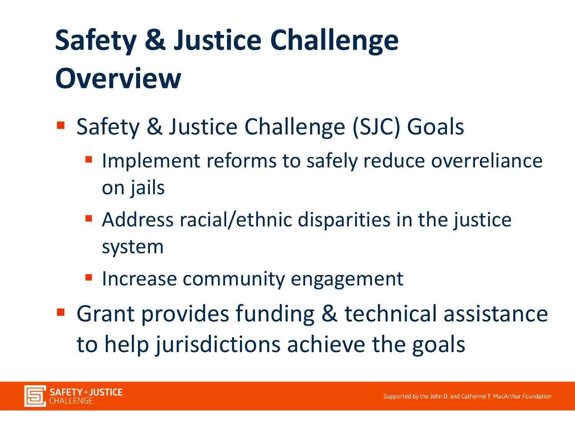## **Safety & Justice Challenge Overview**

- Safety & Justice Challenge (SJC) Goals
	- **Implement reforms to safely reduce overreliance** on jails
	- Address racial/ethnic disparities in the justice system
	- **Increase community engagement**
- Grant provides funding & technical assistance to help jurisdictions achieve the goals

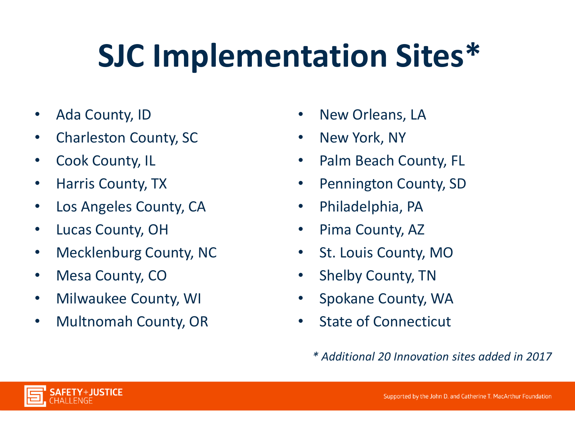# **SJC Implementation Sites\***

- Ada County, ID
- Charleston County, SC
- Cook County, IL
- Harris County, TX
- Los Angeles County, CA
- Lucas County, OH
- Mecklenburg County, NC
- Mesa County, CO
- Milwaukee County, WI
- Multnomah County, OR
- New Orleans, LA
- New York, NY
- Palm Beach County, FL
- Pennington County, SD
- Philadelphia, PA
- Pima County, AZ
- St. Louis County, MO
- Shelby County, TN
- Spokane County, WA
- State of Connecticut
	- *\* Additional 20 Innovation sites added in 2017*

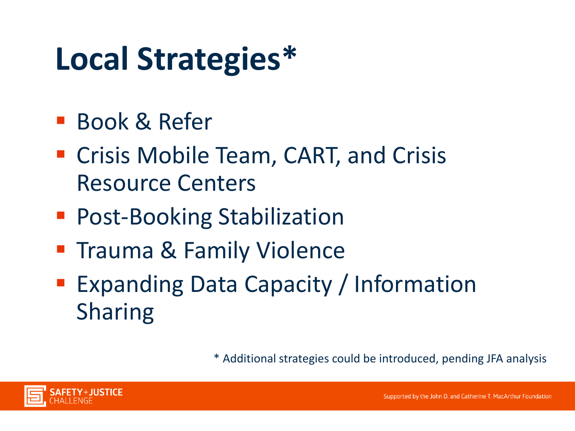## **Local Strategies\***

- **Book & Refer**
- **E** Crisis Mobile Team, CART, and Crisis Resource Centers
- **Post-Booking Stabilization**
- **Trauma & Family Violence**
- **Expanding Data Capacity / Information** Sharing

\* Additional strategies could be introduced, pending JFA analysis

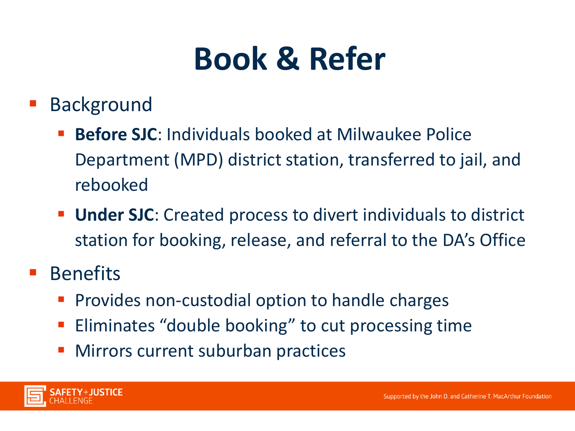## **Book & Refer**

- Background
	- **Before SJC**: Individuals booked at Milwaukee Police Department (MPD) district station, transferred to jail, and rebooked
	- **Under SJC:** Created process to divert individuals to district station for booking, release, and referral to the DA's Office
- Benefits
	- Provides non-custodial option to handle charges
	- **Eliminates "double booking" to cut processing time**
	- **Nirrors current suburban practices**

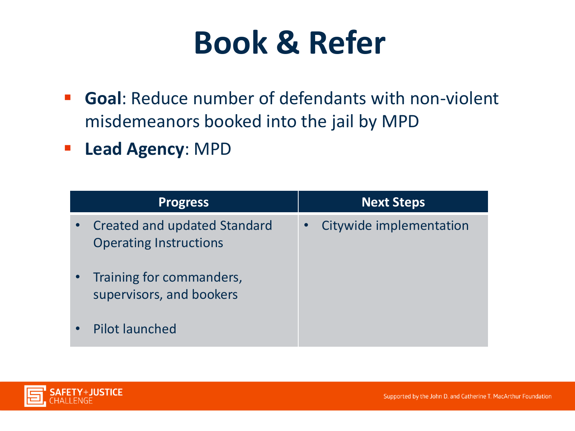## **Book & Refer**

- **Goal**: Reduce number of defendants with non-violent misdemeanors booked into the jail by MPD
- **Lead Agency**: MPD

| <b>Progress</b>                                                      | <b>Next Steps</b>       |
|----------------------------------------------------------------------|-------------------------|
| <b>Created and updated Standard</b><br><b>Operating Instructions</b> | Citywide implementation |
| Training for commanders,<br>supervisors, and bookers                 |                         |
| <b>Pilot launched</b>                                                |                         |

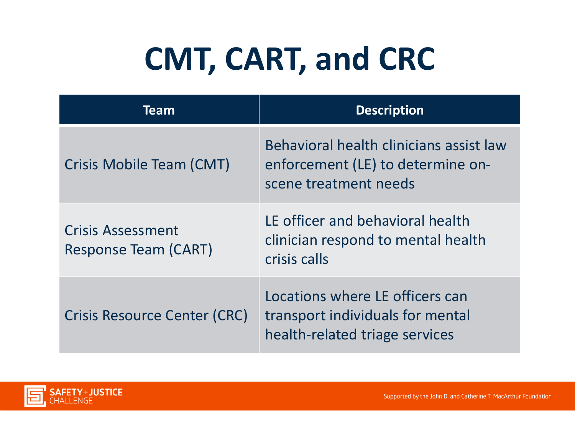# **CMT, CART, and CRC**

| Team                                                    | <b>Description</b>                                                                                    |
|---------------------------------------------------------|-------------------------------------------------------------------------------------------------------|
| Crisis Mobile Team (CMT)                                | Behavioral health clinicians assist law<br>enforcement (LE) to determine on-<br>scene treatment needs |
| <b>Crisis Assessment</b><br><b>Response Team (CART)</b> | LE officer and behavioral health<br>clinician respond to mental health<br>crisis calls                |
| <b>Crisis Resource Center (CRC)</b>                     | Locations where LE officers can<br>transport individuals for mental<br>health-related triage services |

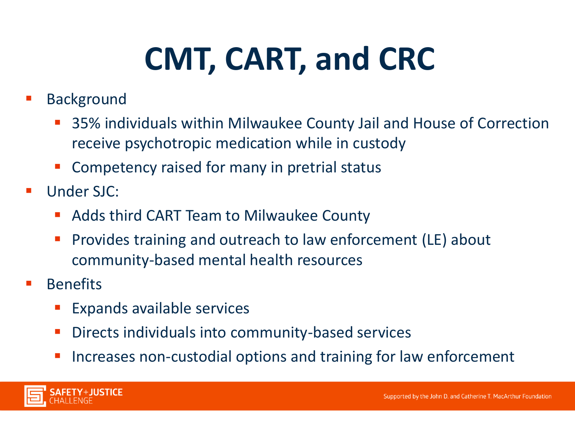# **CMT, CART, and CRC**

- Background
	- 35% individuals within Milwaukee County Jail and House of Correction receive psychotropic medication while in custody
	- Competency raised for many in pretrial status
- Under SJC:
	- **Adds third CART Team to Milwaukee County**
	- Provides training and outreach to law enforcement (LE) about community-based mental health resources
- Benefits
	- Expands available services
	- Directs individuals into community-based services
	- Increases non-custodial options and training for law enforcement

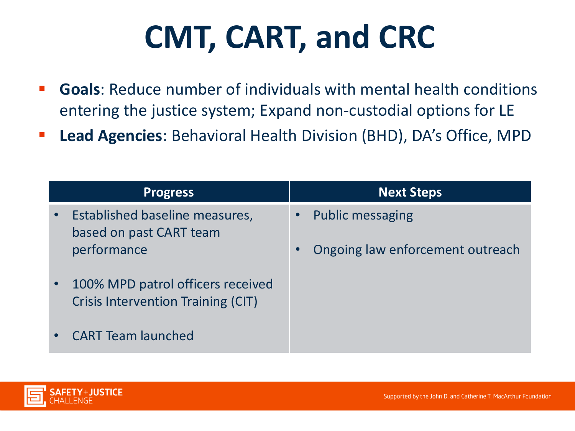# **CMT, CART, and CRC**

- **Goals**: Reduce number of individuals with mental health conditions entering the justice system; Expand non-custodial options for LE
- **Lead Agencies**: Behavioral Health Division (BHD), DA's Office, MPD

| <b>Progress</b>                                                                             | <b>Next Steps</b>                |
|---------------------------------------------------------------------------------------------|----------------------------------|
| Established baseline measures,<br>$\bullet$<br>based on past CART team                      | <b>Public messaging</b>          |
| performance                                                                                 | Ongoing law enforcement outreach |
| 100% MPD patrol officers received<br>$\bullet$<br><b>Crisis Intervention Training (CIT)</b> |                                  |
| <b>CART Team launched</b><br>$\bullet$                                                      |                                  |

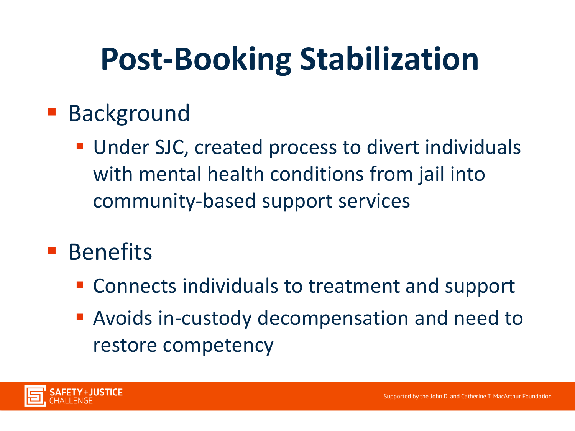## **Post-Booking Stabilization**

- **Background** 
	- **Under SJC, created process to divert individuals** with mental health conditions from jail into community-based support services
- **Benefits** 
	- Connects individuals to treatment and support
	- Avoids in-custody decompensation and need to restore competency

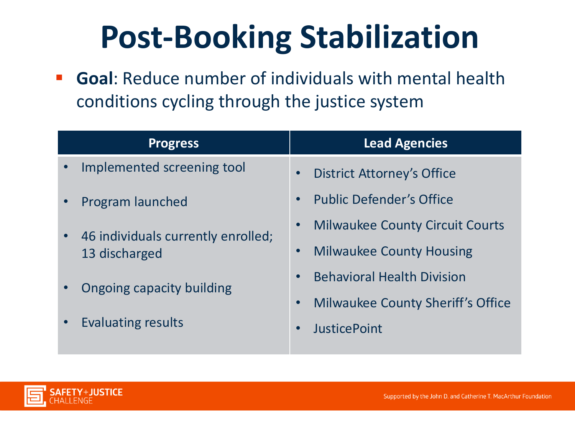## **Post-Booking Stabilization**

 **Goal**: Reduce number of individuals with mental health conditions cycling through the justice system

| <b>Progress</b>                                                  | <b>Lead Agencies</b>                     |
|------------------------------------------------------------------|------------------------------------------|
| Implemented screening tool<br>$\bullet$                          | <b>District Attorney's Office</b>        |
| Program launched<br>$\bullet$                                    | <b>Public Defender's Office</b>          |
| 46 individuals currently enrolled;<br>$\bullet$<br>13 discharged | <b>Milwaukee County Circuit Courts</b>   |
|                                                                  | <b>Milwaukee County Housing</b>          |
| Ongoing capacity building<br>Evaluating results<br>$\bullet$     | <b>Behavioral Health Division</b>        |
|                                                                  | <b>Milwaukee County Sheriff's Office</b> |
|                                                                  | <b>JusticePoint</b>                      |
|                                                                  |                                          |

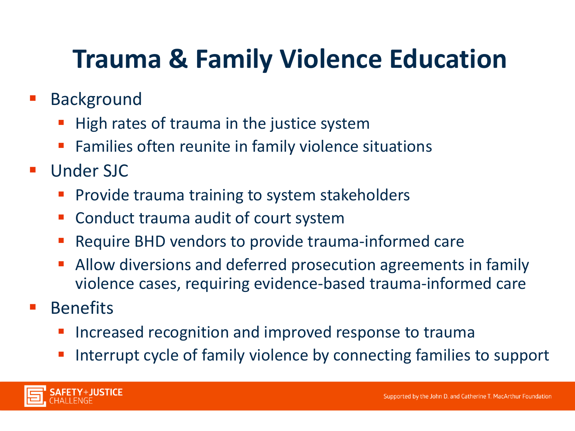### **Trauma & Family Violence Education**

- Background
	- High rates of trauma in the justice system
	- Families often reunite in family violence situations
- Under SJC
	- **Provide trauma training to system stakeholders**
	- **Conduct trauma audit of court system**
	- Require BHD vendors to provide trauma-informed care
	- Allow diversions and deferred prosecution agreements in family violence cases, requiring evidence-based trauma-informed care
- Benefits
	- Increased recognition and improved response to trauma
	- Interrupt cycle of family violence by connecting families to support

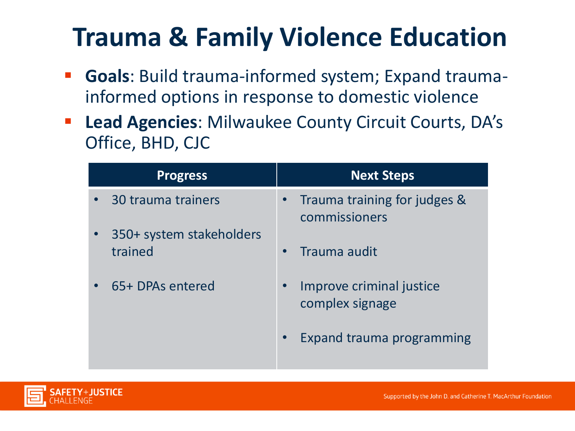### **Trauma & Family Violence Education**

- **Goals**: Build trauma-informed system; Expand traumainformed options in response to domestic violence
- **Lead Agencies**: Milwaukee County Circuit Courts, DA's Office, BHD, CJC

| <b>Progress</b>                     | <b>Next Steps</b>                             |
|-------------------------------------|-----------------------------------------------|
| • 30 trauma trainers                | Trauma training for judges &<br>commissioners |
| 350+ system stakeholders<br>trained | Trauma audit                                  |
| 65+ DPAs entered                    | Improve criminal justice<br>complex signage   |
|                                     | Expand trauma programming<br>$\bullet$        |

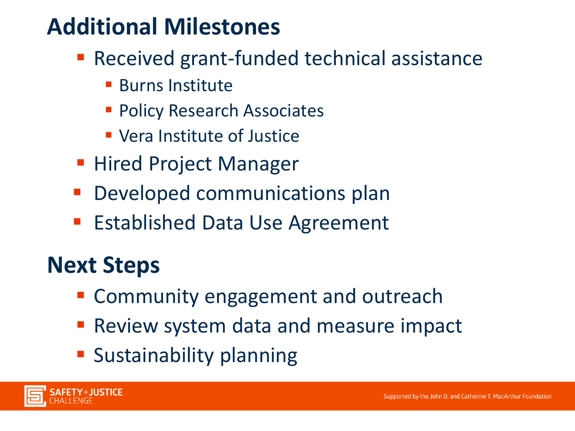#### **Additional Milestones**

- Received grant-funded technical assistance
	- **Burns Institute**
	- **Policy Research Associates**
	- Vera Institute of Justice
- Hired Project Manager
- **Developed communications plan**
- **Established Data Use Agreement**

#### **Next Steps**

- **EX Community engagement and outreach**
- **Review system data and measure impact**
- **Sustainability planning**